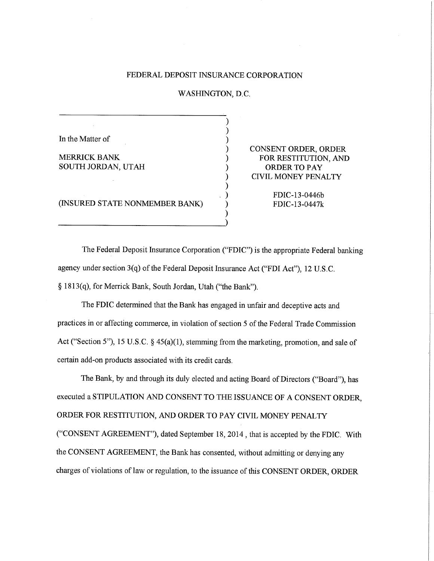# FEDERAL DEPOSIT INSURANCE CORPORATION

WASHINGTON, D.C.

In the Matter of

MERRICK BANK SOUTH JORDAN, UTAH CONSENT ORDER, ORDER FOR RESTITUTION, AND ORDER TO PAY CIVIL MONEY PENALTY

> FDIC-13-0446b FDIC-13-0447k

(INSURED STATE NONMEMBER BANK)

The Federal Deposit Insurance Corporation ("FDIC") is the appropriate Federal banking agency under section 3(q) of the Federal Deposit Insurance Act ("FDI Act"), 12 U.S.C. § 1813(q), for Merrick Bank, South Jordan, Utah ("the Bank").

The FDIC determined that the Bank has engaged in unfair and deceptive acts and practices in or affecting commerce, in violation of section 5 of the Federal Trade Commission Act ("Section 5"), 15 U.S.C. § 45(a)(1), stemming from the marketing, promotion, and sale of certain add-on products associated with its credit cards.

The Bank, by and through its duly elected and acting Board of Directors ("Board"), has executed a STIPULATION AND CONSENT TO THE ISSUANCE OF A CONSENT ORDER, ORDER FOR RESTITUTION, AND ORDER TO PAY CIVIL MONEY PENALTY ("CONSENT AGREEMENT"), dated September 18, 2014 , that is accepted by the FDIC. With the CONSENT AGREEMENT, the Bank has consented, without admitting or denying any charges of violations of law or regulation, to the issuance of this CONSENT ORDER, ORDER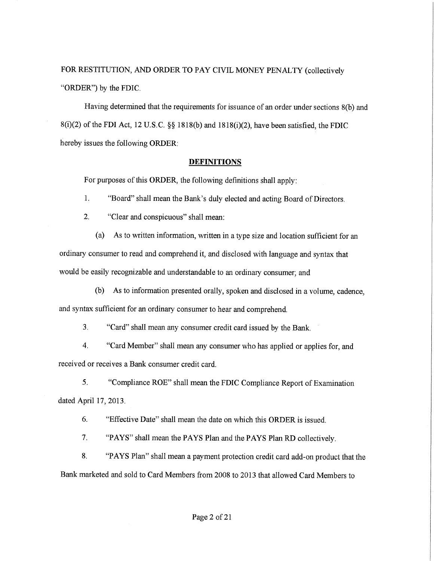# FOR RESTITUTION, AND ORDER TO PAY CIVIL MONEY PENALTY (collectively "ORDER") by the FDIC.

Having determined that the requirements for issuance of an order under sections 8(b) and 8(1)(2) of the FDI Act, 12 U.S.C. §§ 1818(b) and 1818(1)(2), have been satisfied, the FDIC hereby issues the following ORDER;

# **DEFINITIONS**

For purposes of this ORDER, the following definitions shall apply:

 $1<sub>1</sub>$ "Board" shall mean the Bank's duly elected and acting Board of Directors.

2. "Clear and conspicuous" shall mean:

(a) As to written information, written in a type size and location sufficient for an ordinary consumer to read and comprehend it, and disclosed with language and syntax that would be easily recognizable and understandable to an ordinary consumer; and

(b) As to information presented orally, spoken and disclosed in a volume, cadence, and syntax sufficient for an ordinary consumer to hear and comprehend.

 $3<sub>1</sub>$ "Card" shall mean any consumer credit card issued by the Bank,

4. "Card Member" shall mean any consumer who has applied or applies for, and received or receives a Bank consumer credit card.

 $5<sub>1</sub>$ "Compliance ROE" shall mean the FDIC Compliance Report of Examination dated April 17, 2013.

6. "Effective Date" shall mean the date on which this ORDER is issued.

7. "PAYS" shall mean the PAYS Plan and the PAYS Plan RD collectively.

8, "PAYS Plan" sha11 mean a payment protection credit card add-on product that the Bank marketed and sold to Card Members from 2008 to 2013 that allowed Card Members to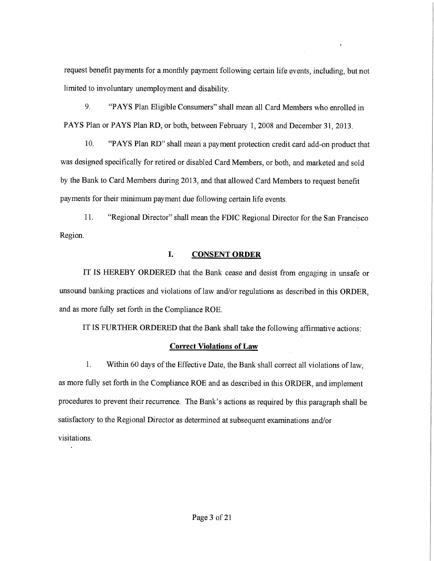request benefit payments for a monthly payment following certain life events, including, but not limited to involuntary unemployment and disability,

9. "PAYS Plan Eligible Consumers" shall mean all Card Members who enrolled in PAYS Plan or PAYS Plan RD, or both, between February 1, 2008 and December 31, 2013.

10. "PAYS Plan RD" shall mean a payment protection credit card add-on product that was designed specifically for retired or disabled Card Members, or both, and marketed and sold by the Bank to Card Members during 2013, and that allowed Card Members to request benefit payments for their minimum payment due following certain life events,

Region. 11. "Regional Director" sha11 mean the FDIC Regional Director for the San Francisco

# I. CONSENT ORDER

IT IS HEREBY ORDERED that the Bank cease and desist from engaging in unsafe or unsound banking practices and violations of law and/or regulations as described in this ORDER, and as more fully set forth in the Compliance ROE.

IT IS FURTHER ORDERED that the Bank shall take the following affirmative actions:

# Correct Violations of Law

 $1<sub>1</sub>$ Within 60 days of the Effective Date, the Bank shall correct all violations of law, as more fully set forth in the Compliance ROE and as described in this ORDER, and implement procedures to prevent their recurrence. The Bank's actions as required by this paragraph shall be satisfactory to the Regional Director as determined at subsequent examinations and/or visitations.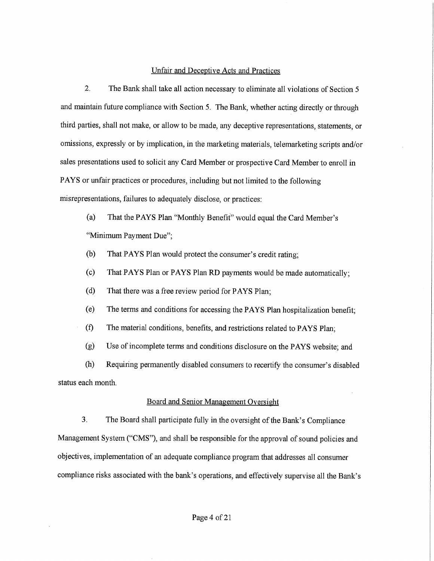## Unfair and Deceptive Acts and Practices

2. The Bank shall take all action necessary to eliminate all violations of Section 5 and maintain future compliance with Section 5. The Bank, whether acting directly or through third parties, shall not make, or allow to be made, any deceptive representations, statements, or omissions, expressly or by implication, in the marketing materials, telemarketing scripts and/or sales presentations used to solicit any Card Member or prospective Card Member to enroll in PAYS or unfair practices or procedures, including but not limited to the following misrepresentations, failures to adequately disclose, or practices:

(a) That the PAYS Plan "Monthly Benefit' would equal the Card Member's "Minimum Payment Due";

- (b) That PAYS Plan would protect the consumer's credit rating;
- (c) That PAYS Plan or PAYS Plan RD payments would be made automatically;
- (d) That there was a free review period for PAYS Plan;
- (e) The terms and conditions for accessing the PAYS Plan hospitalization benefit;
- (fl The material conditions, benefits, and restrictions related to PAYS Plan;

(g) Use of incomplete terms and conditions disclosure on the PAYS website; and

(h) Requiring permanently disabled consumers to recertify the consumer's disabled status each month.

# Board and Senior Management Oversight

3. The Board shall participate fully in the oversight of the Bank's Compliance Management System ("CMS"), and shall be responsible for the approval of sound policies and objectives, implementation of an adequate compliance program that addresses all consumer compliance risks associated with the bank's operations, and effectively supervise all the Bank's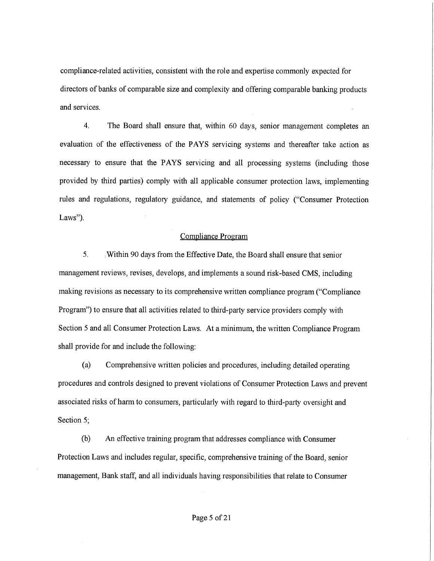compliance-related activities, consistent with the role and expertise commonly expected for directors of banks of comparable size and complexity and offering comparable banking products and services.

4. The Board sha11 ensure that, within 60 days, senior management completes an evaluation of the effectiveness of the PAYS servicing systems and thereafter take action as necessary to ensure that the PAYS servicing and all processing systems (including those provided by third parties) comply with all applicable consumer protection laws, implementing rules and regulations, regulatory guidance, and statements of policy ("Consumer Protection Laws").

## Compliance Program

5, ;Within 90 days from the Effective Date, the Board shall ensure that senior management reviews, revises, develops, and implements a sound risk-based CMS, including making revisions as necessary to its comprehensive written compliance program ("Compliance Program") to ensure that all activities related to third-party service providers comply with Section 5 and all Consumer Protection Laws. At a minimum, the written Compliance Program shall provide for and include the following:

(a) Comprehensive written policies and procedures, including detailed operating procedures and controls designed to prevent violations of Consumer Protection Laws and prevent associated risks of harm to consumers, particularly with regard to third-party oversight and Section 5;

(b) An effective training program that addresses compliance with Consumer Protection Laws and includes regular, specific, comprehensive training of the Board, senior management, Bank staff, and all individuals having responsibilities that relate to Consumer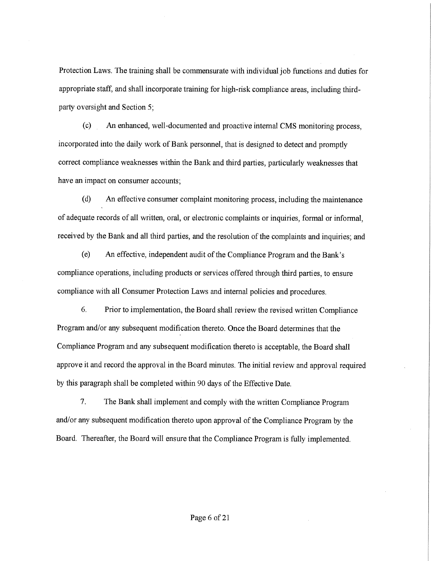Protection Laws. The training shall be commensurate with individual job functions and duties for appropriate staff, and shall incorporate training for high-risk compliance areas, including thirdparty oversight and Section 5;

(c) An enhanced, well-documented and proactive internal CMS monitoring process, incorporated into the daily work of Bank personnel, that is designed to detect and promptly correct compliance weaknesses within the Bank and third parties, particularly weaknesses that have an impact on consumer accounts;

(d) An effective consumer complaint monitoring process, including the maintenance of adequate records of all written, oral, or electronic complaints or inquiries, formal or informal, received by the Bank and all third parties, and the resolution of the complaints and inquiries; and

(e) An effective, independent audit of the Compliance Program and the Bank's compliance operations, including products or services offered through third parties, to ensure compliance with all Consumer Protection Laws and internal policies and procedures.

6. Prior to implementation, the Board shall review the revised written Compliance Program and/or any subsequent modification thereto. Once the Board determines that the Compliance Program and any subsequent modification thereto is acceptable, the Board shall approve it and record the approval in the Board minutes, The initial review and approval required by this paragraph shall be completed within 90 days of the Effective Date.

7. The Bank shall implement and comply with the written Compliance Program and/or any subsequent modification thereto upon approval of the Compliance Program by the Board. Thereafter, the Board will ensure that the Compliance Program is fully implemented.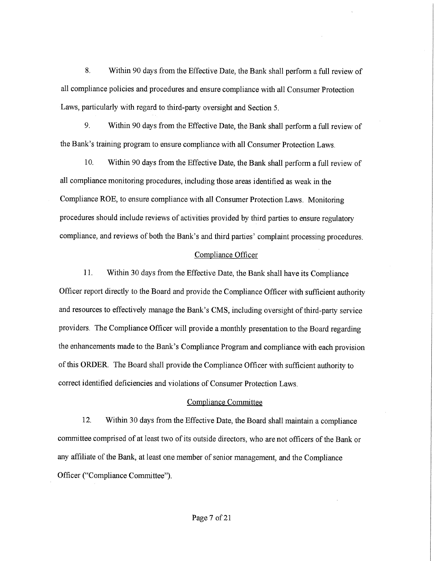8. Within 90 days from the Effective Date, the Bank shall perform a full review of all compliance policies and procedures and ensure compliance with all Consumer Protection Laws, particularly with regard to third-party oversight and Section 5.

9. Within 90 days from the Effective Date, the Bank shall perform a full review of the Bank's training program to ensure compliance with all Consumer Protection Laws,

10. Within 90 days from the Effective Date, the Bank shall perform a full review of all compliance monitoring procedures, including those areas identified as weak in the Compliance ROE, to ensure compliance with all Consumer Protection Laws. Monitoring procedures should include reviews of activities provided by third parties to ensure regulatory compliance, and reviews of both the Bank's and third parties' complaint processing procedures.

### Compliance Officer

11, Within 30 days from the Effective Date, the Bank shall have its Compliance Officer report directly to the Board and provide the Compliance Officer with sufficient authority and resources to effectively manage the Bank's CMS, including oversight of third-party service providers, The Compliance Officer will provide a monthly presentation to the Board regarding the enhancements made to the Bank's Compliance Program and compliance with each provision of this ORDER. The Board shall provide the Compliance Officer with sufficient authority to correct identified deficiencies and violations of Consumer Protection Laws.

## Compliance Committee

12. Within 30 days from the Effective Date, the Board sha11 maintain a compliance committee comprised of at least two of its outside directors, who are not officers of the Bank or any affiliate of the Bank, at least one member of senior management, and the Compliance Officer ("Compliance Committee").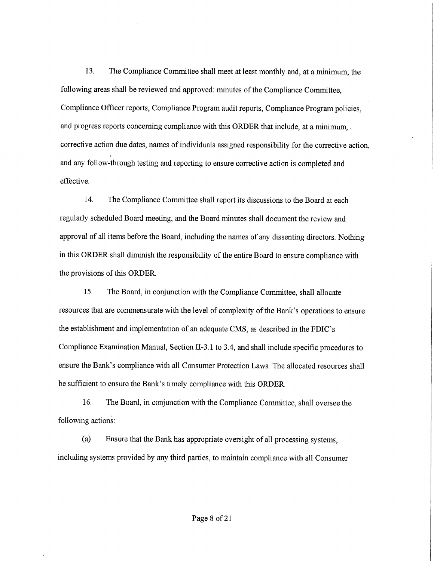13. The Compliance Committee shall meet at least monthly and, at a minimum, the following areas shall be reviewed and approved: minutes of the Compliance Committee, Compliance Officer reports, Compliance Program audit reports, Compliance Program policies, and progress reports concerning compliance with this ORDER that include, at a minimum, corrective action due dates, names of individuals assigned responsibility for the corrective action, and any follow-through testing and reporting to ensure corrective action is completed and effective.

14. The Compliance Committee shall report its discussions to the Board at each regularly scheduled Board meeting, and the Board minutes shall document the review and approval of all items before the Board, including the names of any dissenting directors. Nothing in this ORDER shall diminish the responsibility of the entire Board to ensure compliance with the provisions of this ORDER.

15. The Board, in conjunction with the Compliance Committee, shall allocate resources that are commensurate with the level of complexity of the Bank's operations to ensure the establishment and implementation of an adequate CMS, as described in the FDIC's Compliance Examination Manual, Section II-3.1 to 3.4, and shall include specific procedures to ensure the Bank's compliance with all Consumer Protection Laws. The allocated resources shall be sufficient to ensure the Bank's timely compliance with this ORDER.

16. The Board, in conjunction with the Compliance Committee, shall oversee the following actions:

(a) Ensure that the Bank has appropriate oversight of all processing systems, including systems provided by any third parties, to maintain compliance with all Consumer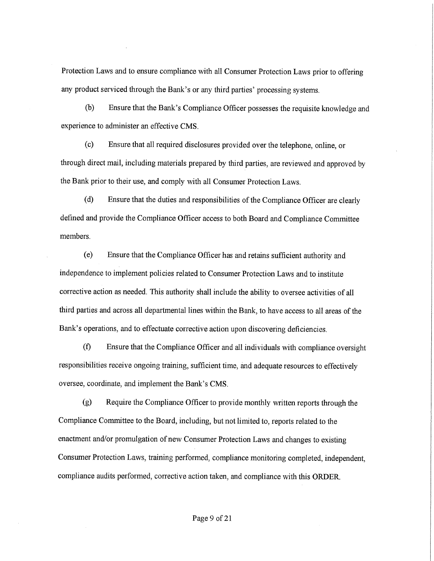Protection Laws and to ensure compliance with all Consumer Protection Laws prior to offering any product serviced through the Bank's or any third parties' processing systems,

(b) Ensure that the Bank's Compliance Officer possesses the requisite knowledge and experience to administer an effective CMS.

(c) Ensure that all required disclosures provided over the telephone, online, or through direct mail, including materials prepared by third parties, are reviewed and approved by the Bank prior to their use, and comply with all Consumer Protection Laws.

(d) Ensure that the duties and responsibilities of the Compliance Officer are clearly defined and provide the Compliance Officer access to both Board and Compliance Committee members.

(e) Ensure that the Compliance Officer has and retains sufficient authority and independence to implement policies related to Consumer Protection Laws and to institute corrective action as needed. This authority shall include the ability to oversee activities of all third parties and across all departmental lines within the Bank, to have access to all areas of the Bank's operations, and to effectuate corrective action upon discovering deficiencies,

(f) Ensure that the Compliance Officer and all individuals with compliance oversight responsibilities receive ongoing training, sufficient time, and adequate resources to effectively oversee, coordinate, and implement the Bank's CMS.

(g) Require the Compliance Officer to provide monthly written reports through the Compliance Committee to the Board, including, but not limited to, reports related to the enactment and/or promulgation of new Consumer Protection Laws and changes to existing Consumer Protection Laws, training performed, compliance monitoring completed, independent, compliance audits performed, corrective action taken, and compliance with this ORDER.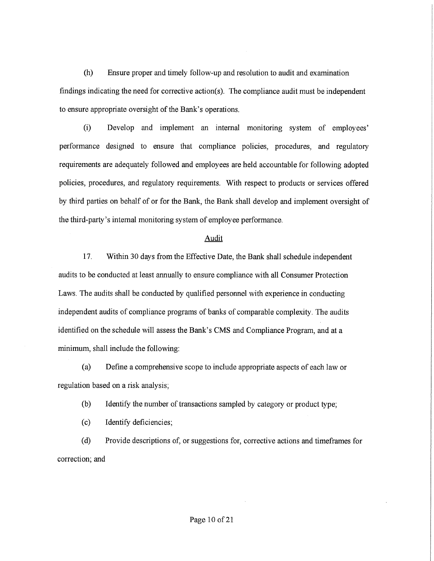(h) Ensure proper and timely follow-up and resolution to audit and examination findings indicating the need for corrective action(s). The compliance audit must be independent to ensure appropriate oversight of the Bank's operations.

(i) Develop and implement an internal monitoring system of employees' performance designed to ensure that compliance policies, procedures, and regulatory requirements are adequately followed and employees are held accountable for following adopted policies, procedures, and regulatory requirements. With respect to products or services offered by third parties on behalf of or for the Bank, the Bank shall develop and implement oversight of the third-party's internal monitoring system of employee performance.

# Audit

17. Within 30 days from the Effective Date, the Bank shall schedule independent audits to be conducted at least annually to ensure compliance with all Consumer Protection Laws. The audits shall be conducted by qualified personnel with experience in conducting independent audits of compliance programs of banks of comparable complexity, The audits identified on the schedule will assess the Bank's CMS and Compliance Program, and at a minimum, shall include the following:

(a) Define a comprehensive scope to include appropriate aspects of each law or regulation based on a risk analysis;

(b) Identify the number of transactions sampled by category ar product type;

(c) Identify deficiencies;

(d) Provide descriptions of, or suggestions for, corrective actions and timeframes for correction; and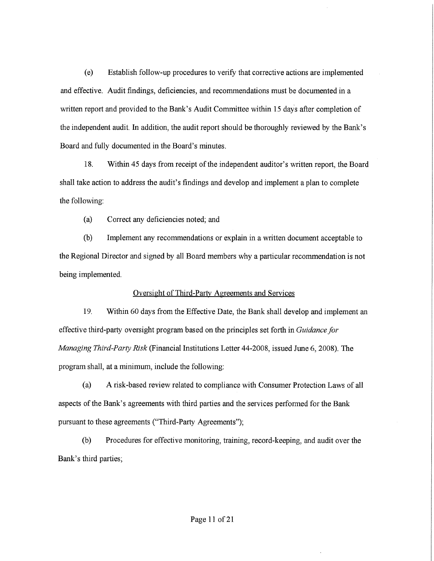(e) Establish follow-up procedures to verify that corrective actions are implemented and effective. Audit findings, deficiencies, and recommendations must be documented in a written report and provided to the Bank's Audit Committee within 15 days after completion of the independent audit. In addition, the audit report should be thoroughly reviewed by the Bank's Board and fully documented in the Board's minutes.

18. Within 45 days from receipt of the independent auditor's written report, the Board shall take action to address the audit's findings and develop and implement a plan to complete the following:

(a) Correct any deficiencies noted; and

(b) Implement any recommendations or explain in a written document acceptable to the Regional Director and signed by all Board members why a particular recommendation is not being implemented,

# Oversight of Third-Party Agreements and Services

19. Within 60 days from the Effective Date, the Bank shall develop and implement an effective third-party oversight program based on the principles set forth in Guidance for Managing Third-Party Risk (Financial Institutions Letter 44-2008, issued June 6, 2008). The program shall, at a minimum, include the following:

(a) A risk-based review related to compliance with Consumer Protection Laws of all aspects of the Bank's agreements with third parties and the services performed for the Bank pursuant to these agreements ("Third-Party Agreements");

(b) Procedures for effective monitoring, training, record-keeping, and audit over the Bank's third parties;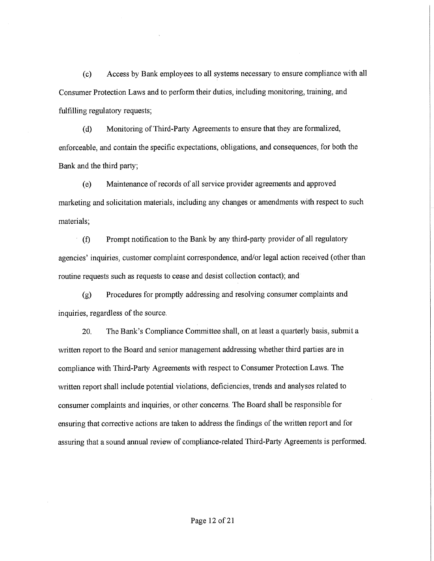(c) Access by Bank employees to all systems necessary to ensure compliance with all Consumer Protection Laws and to perform their duties, including monitoring, training, and fulfilling regulatory requests;

(d) Monitoring of Third-Party Agreements to ensure that they are formalized, enforceable, and contain the specific expectations, obligations, and consequences, for both the Bank and the third party;

(e) Maintenance of records of all service provider agreements and approved marketing and solicitation materials, including any changes or amendments with respect to such materials;

(fl Prompt notification to the Bank by any third-party provider of all regulatory agencies' inquiries, customer complaint correspondence, and/or legal action received (other than routine requests such as requests to cease and desist collection contact); and

(g) Procedures for promptly addressing and resolving consumer complaints and inquiries, regardless of the source.

20. The Bank's Compliance Committee shall, on at least a quarterly basis, submit a written report to the Board and senior management addressing whether third parties are in compliance with Third-Party Agreements with respect to Consumer Protection Laws. The written report shall include potential violations, deficiencies, trends and analyses related to consumer complaints and inquiries, or other concerns. The Board shall be responsible for ensuring that corrective actions are taken to address the findings of the written report and for assuring that a sound annual review of compliance-related Third-Party Agreements is performed.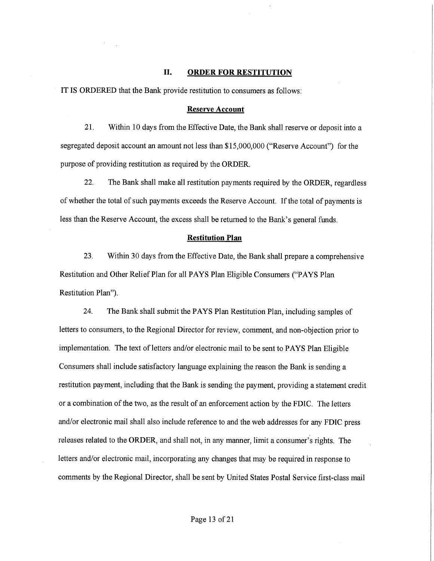# II. ORDER FOR RESTITUTION

IT IS ORDERED that the Bank provide restitution to consumers as follows:

# Reserve Account

21. Within 10 days from the Effective Date, the Bank shall reserve or deposit into a segregated deposit account an amount not less than \$15,000,000 ("Reserve Account") for the purpose of providing restitution as required by the ORDER.

22. The Bank shall make all restitution payments required by the ORDER, regardless of whether the total of such payments exceeds the Reserve Account. If the total of payments is less than the Reserve Account, the excess shall be returned to the Bank's general funds.

### Restitution Plan

23. Within 30 days from the Effective Date, the Bank shall prepare a comprehensive Restitution and Other Relief Plan for all PAYS Plan Eligible Consumers ("PAYS Plan Restitution Plan").

24. The Bank shall submit the PAYS Plan Restitution Plan, including samples of letters to consumers, to the Regional Director for review, comment, and non-objection prior to implementation. The text of letters and/or electronic mail to be sent to PAYS Plan Eligible Consumers shall include satisfactory language explaining the reason the Bank is sending a restitution payment, including that the Bank is sending the payment, providing a statement credit or a combination of the two, as the result of an enforcement action by the FDIC. The letters and/or electronic mail shall also include reference to and the web addresses for any FDIC press releases related to the ORDER, and shall not, in any manner, limit a consumer's rights. The letters and/or electronic mail, incorporating any changes that may be required in response to comments by the Regional Director, shall be sent by United States Postal Service first-class mail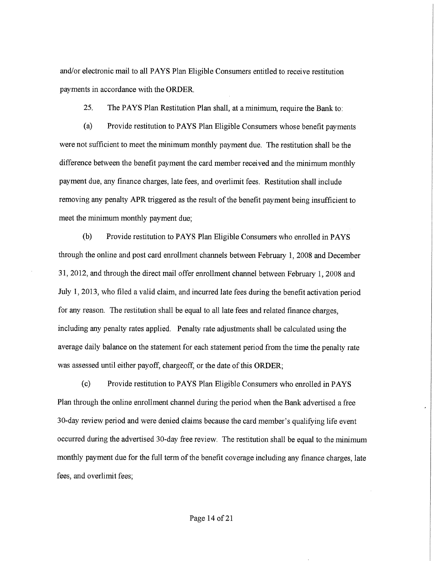and/or electronic mail to all PAYS Plan Eligible Consumers entitled to receive restitution payments in accordance with the ORDER.

25. The PAYS Plan Restitution Plan shall, at a minimum, require the Bank to:

(a) Provide restitution to PAYS Plan Eligible Consumers whose benefit payments were not sufficient to meet the minimum monthly payment due. The restitution shall be the difference between the benefit payment the card member received and the minimum monthly payment due, any finance charges, late fees, and overlimit fees. Restitution shall include removing any penalty APR triggered as the result of the benefit payment being insufficient to meet the minimum monthly payment due;

(b) Provide restitution to PAYS Plan Eligible Consumers who enrolled in PAYS through the online and post card enrollment channels between February 1, 2008 and December 31, 2012, and through the direct mail offer enrollment channel between February 1, 2008 and July 1, 2013, who filed a valid claim, and incurred late fees during the benefit activation period for any reason. The restitution shall be equal to all late fees and related finance charges, including any penalty rates applied. Penalty rate adjustments shall be calculated using the average daily balance on the statement for each statement period from the time the penalty rate was assessed until either payoff, chargeoff, or the date of this ORDER;

(c) Provide restitution to PAYS Plan Eligible Consumers who enrolled in PAYS Plan through the online enrollment channel durring the period when the Bank advertised a free 30-day review period and were denied claims because the card member's qualifying life event occurred during the advertised 30-day free review. The restitution shall be equal to the minimum monthly payment due for the full term of the benefit coverage including any finance charges, late fees, and overlimit fees;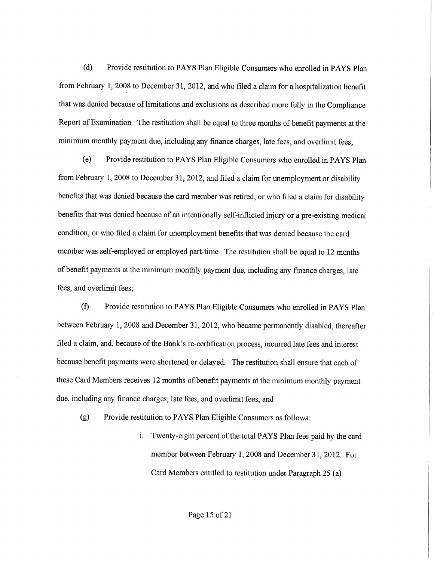(d) Provide restitution to PAYS Plan Eligible Consumers who enrolled in PAYS Plan from February 1, 2008 to December 31, 2012, and who filed a claim for a hospitalization benefit that was denied because of limitations and exclusions as described more fully in the Compliance Report of Examination. The restitution shall be equal to three months of benefit payments at the minimum monthly payment due, including any finance charges, late fees, and overlimit fees;

(e) Provide restitution to PAYS Plan Eligible Consumers who enrolled in PAYS Plan from February 1, 2008 to December 31, 2012, and filed a claim for unemployment or disability benefits that was denied because the card member was retired, or who filed a claim for disability benefits that was denied because of an intentionally self-inflicted injury or a pre-existing medical condition, or who filed a claim for unemployment benefits that was denied because the card member was self-employed or employed part-time. The restitution shall be equal to 12 months of benefit payments at the minimum monthly payment due, including any finance charges, late fees, and overlimit fees;

(fl Provide restitution to PAYS Plan Eligible Consumers who enrolled in PAYS Plan between February 1, 2008 and December 31, 2012, who became permanently disabled, thereafter filed a claim, and, because of the Bank's re-certification process, incurred late fees and interest because benefit payments were shortened or delayed. The restitution shall ensure that each of these Card Members receives 12 months of benefit payments at the minimum monthly payment due, including any finance charges, late fees, and overlimit fees; and

(g) Provide restitution to PAYS Plan Eligible Consumers as follows:

i. Twenty-eight percent of the total PAYS Plan fees paid by the card member between February 1, 2008 and December 31, 2012. For Card Members entitled to restitution under Paragraph 25 (a)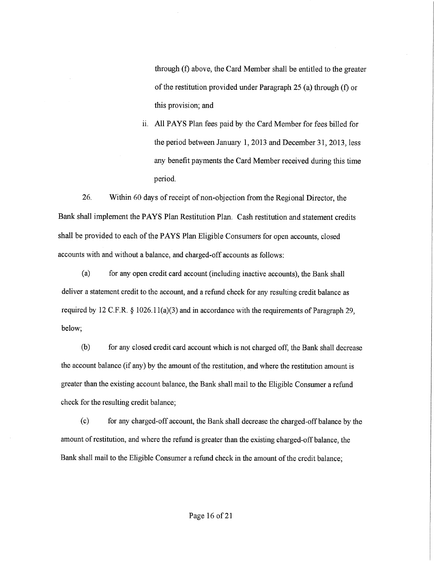through (f) above, the Card Member shall be entitled to the greater of the restitution provided under Paragraph  $25$  (a) through (f) or this provision; and

ii. All PAYS Plan fees paid by the Card Member for fees billed for the period between January 1, 2013 and December 31, 2013, less any benefit payments the Card Member received during this time period.

26. Within 60 days of receipt of non-objection from the Regional Director, the Bank shall implement the PAYS Plan Restitution Plan. Cash restitution and statement credits shall be provided to each of the PAYS Plan Eligible Consumers for open accounts, closed accounts with and without a balance, and charged-off accounts as follows:

(a) for any open credit card account (including inactive accounts), the Bank shall deliver a statement credit to the account, and a refund check for any resulting credit balance as required by 12 C.F,R. § 1026.11(a)(3) and in accordance with the requirements of Paragraph 29, below;

(b) for any closed credit card account which is not charged off, the Bank shall decrease the account balance (if any) by the amount of the restitution, and where the restitution amount is greater than the existing account balance, the Bank shall mail to the Eligible Consumer a refund check for the resulting credit balance;

(c) for any charged-off account, the Bank shall decrease the charged-off balance by the amount of restitution, and where the refund is greater than the existing charged-off balance, the Bank shall mail to the Eligible Consumer a refund check in the amount of the credit balance;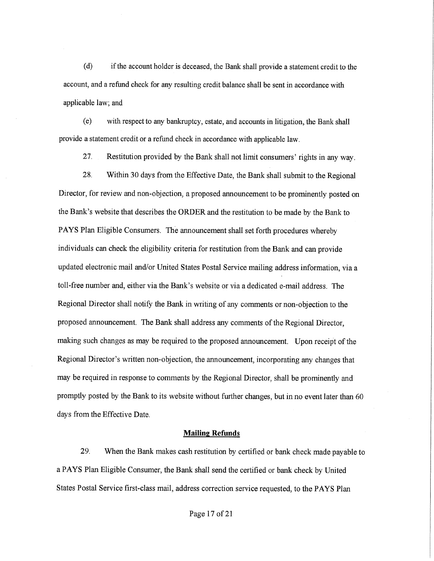(d) if the account holder is deceased, the Bank shall provide a statement credit to the account, and a refund check for any resulting credit balance shall be sent in accordance with applicable law; and

(e) with respect to any bankruptcy, estate, and accounts in litigation, the Bank shall provide a statement credit or a refund check in accordance with applicable law.

27, Restitution provided by the Bank shall not limit consumers' rights in any way.

28, Within 30 days from the Effective Date, the Bank shall submit to the Regional Director, for review and non-objection, a proposed announcement to be prominently posted on the Bank's website that describes the ORDER and the restitution to be made by the Bank to PAYS Plan Eligible Consumers. The announcement shall set forth procedures whereby individuals can check the eligibility criteria for restitution from the Bank and can provide updated electronic mail and/or United States Postal Service mailing address information, via a toll-free number and, either via the Bank's website or via a dedicated e-mail address. The Regional Director shall notify the Bank in writing of any comments or non-objection to the proposed announcement. The Bank shall address any comments of the Regional Director, making such changes as may be required to the proposed announcement. Upon receipt of the Regional Director's written non-objection, the announcement, incorporating any changes that may be required in response to comments by the Regional Director, shall be prominently and promptly posted by the Bank to its website without further changes, but in no event later than 60 days from the Effective Date.

#### Mailing Refunds

29. When the Bank makes cash restitution by certified or bank check made payable to a PAYS Plan Eligible Consumer, the Bank shall send the certified or bank check by United States Postal Service first-class mail, address correction service requested, to the PAYS Plan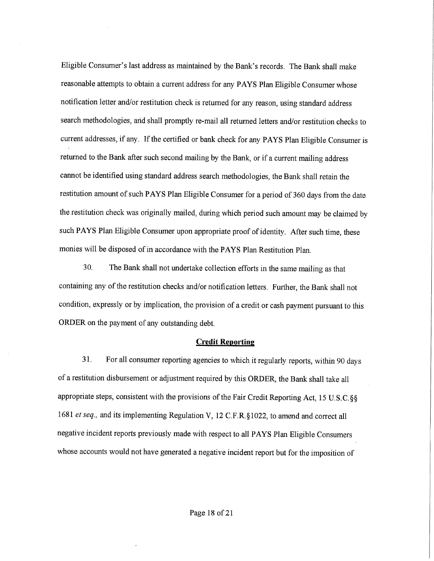Eligible Consumer's last address as maintained by the Bank's records. The Bank shall make reasonable attempts to obtain a current address for any PAYS Plan Eligible Consumer whose notification letter and/or restitution check is returned for any reason, using standard address search methodologies, and shall promptly re-mail all returned letters and/or restitution checks to current addresses, if any. If the certified or bank check for any PAYS Plan Eligible Consumer is returned to the Bank after such second mailing by the Sank, or if a current mailing address cannot be identified using standard address search methodologies, the Bank shall retain the restitution amount of such PAYS Plan Eligible Consumer for a period of 360 days from the date the restitution check was originally mailed, during which period such amount may be claimed by such PAYS Plan Eligible Consumer upon appropriate proof of identity. After such time, these monies will be disposed of in accordance with the PAYS Plan Restitution Plan.

30. The Bank shall not undertake collection efforts in the same mailing as that containing any of the restitution checks and/or notification letters. Further, the Bank shall not condition, expressly or by implication, the provision of a credit or cash payment pursuant to this ORDER on the payment of any outstanding debt.

#### **Credit Reporting**

31. For all consumer reporting agencies to which it regularly reports, within 90 days of a restitution disbursement or adjustment required by this ORDER, the Bank shall take all appropriate steps, consistent with the provisions of the Fair Credit Reporting Act, 15 U, S, C,  $\S$ § 1681 et seq., and its implementing Regulation V, 12 C.F.R.§1022, to amend and correct all negative incident reports previously made with respect to all PAYS Plan Eligible Consumers whose accounts would not have generated a negative incident report but for the imposition of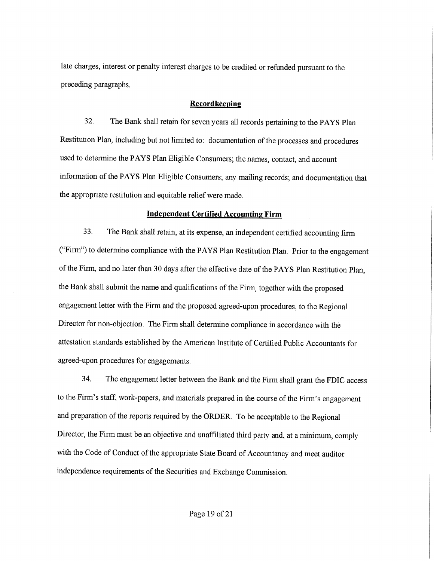late charges, interest or penalty interest charges to be credited or refunded pursuant to the preceding paragraphs.

# **Recordkeeping**

32. The Bank shall retain for seven years all records pertaining to the PAYS Plan Restitution Plan, including but not limited to: documentation of the processes and procedures used to determine the PAYS Plan Eligible Consumers; the names, contact, and account information of the PAYS Plan Eligible Consumers; any mailing records; and documentation that the appropriate restitution and equitable relief were made.

#### **Independent Certified Accounting Firm**

33. The Bank shall retain, at its expense, an independent certified accounting firm ("Firm") to determine compliance with the PAYS Plan Restitution Plan. Prior to the engagement of the Firm, and no later than 30 days after the effective date of the PAYS Plan Restitution Plan, the Bank shall submit the name and qualifications of the Firm, together with the proposed engagement letter with the Firm and the proposed agreed-upon procedures, to the Regional Director for non-objection, The Firm shall determine compliance in accordance with the attestation standards established by the American Institute of Certified Public Accountants for agreed-upon procedures for engagements.

34. The engagement letter between the Bank and the Firm shall grant the FDIC access to the Firm's staff, work-papers, and materials prepared in the course of the Firm's engagement and preparation of the reports required by the ORDER. To be acceptable to the Regional Director, the Firm must be an objective and unaffiliated third party and, at a minimum, comply with the Code of Conduct of the appropriate State Board of Accountancy and meet auditor independence requirements of the Securities and Exchange Commission.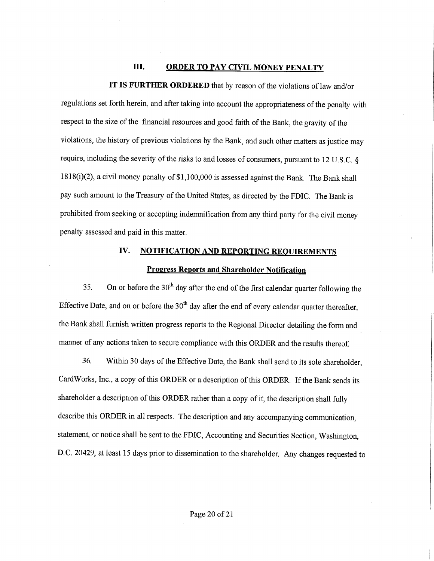# III. ORDER TO PAY CIVIL MONEY PENALTY

IT IS FURTHER ORDERED that by reason of the violations of law and/or

regulations set forth herein, and after taking into account the appropriateness of the penalty with respect to the size of the financial resources and good faith of the Bank, the gravity of the violations, the history of previous violations by the Bank, and such other matters as justice may require, including the severity of the risks to and losses of consumers, pursuant to 12 U.S.C. § 1818(1)(2), a civil money penalty of \$1,100,000 is assessed against the Bank. The Bank shall pay such amount to the Treasury of the United States, as directed by the FDIC. The Bank is prohibited from seeking or accepting indemnification from any third party for the civil money penalty assessed and paid in this matter.

# IV. NOTIFICATION AND REPORTING REQUIREMENTS

#### **Progress Reports and Shareholder Notification**

35. On or before the  $30<sup>th</sup>$  day after the end of the first calendar quarter following the Effective Date, and on or before the  $30<sup>th</sup>$  day after the end of every calendar quarter thereafter, the Bank shall furnish written progress reports to the Regional Director detailing the form and manner of any actions taken to secure compliance with this ORDER and the results thereof.

36, Within 30 days of the Effective Date, the Bank sha11 send to its sole shareholder, CardWorks, Inc., a copy of this ORDER or a description of this ORDER. If the Bank sends its shareholder a description of this ORDER rather than a copy of it, the description shall fully describe this ORDER in all respects. The description and any accompanying communication, statement, or notice shall be sent to the FDIC, Accounting and Securities Section, Washington, D.C. 20429, at least 15 days prior to dissemination to the shareholder. Any changes requested to